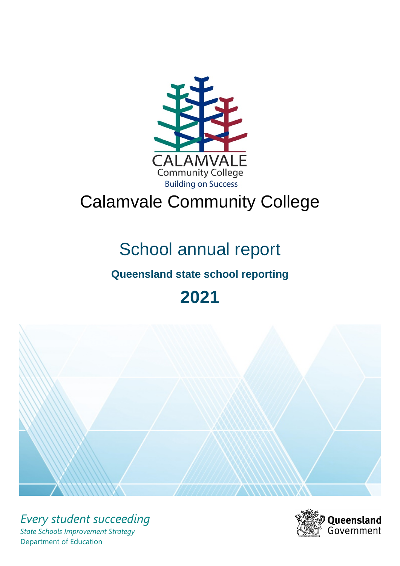

# Calamvale Community College

# School annual report

# **Queensland state school reporting**

**2021**



*Every student succeeding State Schools Improvement Strategy* Department of Education

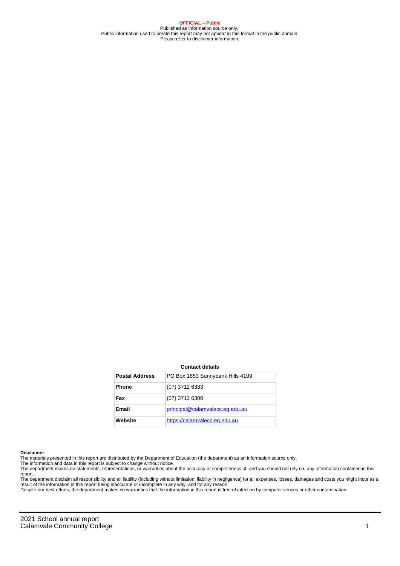**OFFICIAL – Public** Published as information source only. Public information used to create this report may not appear in this format in the public domain Please refer to disclaimer information.

#### **Contact details**

| <b>Postal Address</b> | PO Box 1653 Sunnybank Hills 4109 |
|-----------------------|----------------------------------|
| <b>Phone</b>          | (07) 3712 6333                   |
| Fax                   | (07) 3712 6300                   |
| <b>Email</b>          | principal@calamvalecc.eq.edu.au  |
| Website               | https://calamvalecc.eq.edu.au    |

#### **Disclaimer**

The materials presented in this report are distributed by the Department of Education (the department) as an information source only.

The information and data in this report is subject to change without notice.<br>The department makes no statements, representations, or warranties about the accuracy or completeness of, and you should not rely on, any informa report. The department disclaim all responsibility and all liability (including without limitation, liability in negligence) for all expenses, losses, damages and costs you might incur as a

result of the information in this report being inaccurate or incomplete in any way, and for any reason. Despite our best efforts, the department makes no warranties that the information in this report is free of infection by computer viruses or other contamination.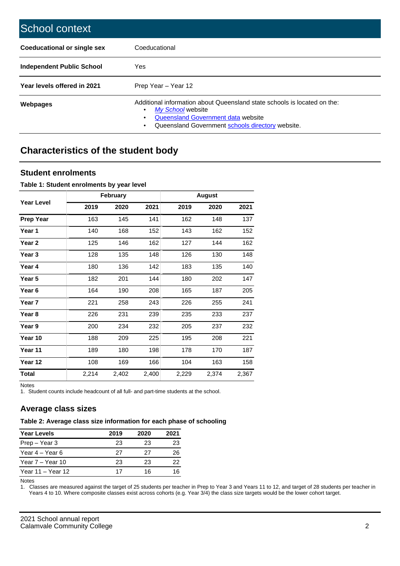| School context                   |                                                                                                                                                                                              |
|----------------------------------|----------------------------------------------------------------------------------------------------------------------------------------------------------------------------------------------|
| Coeducational or single sex      | Coeducational                                                                                                                                                                                |
| <b>Independent Public School</b> | <b>Yes</b>                                                                                                                                                                                   |
| Year levels offered in 2021      | Prep Year - Year 12                                                                                                                                                                          |
| Webpages                         | Additional information about Queensland state schools is located on the:<br>My School website<br>Queensland Government data website<br>Queensland Government schools directory website.<br>٠ |

# **Characteristics of the student body**

## **Student enrolments**

#### **Table 1: Student enrolments by year level**

|                   |       | <b>February</b> |       |       | <b>August</b> |       |
|-------------------|-------|-----------------|-------|-------|---------------|-------|
| <b>Year Level</b> | 2019  | 2020            | 2021  | 2019  | 2020          | 2021  |
| <b>Prep Year</b>  | 163   | 145             | 141   | 162   | 148           | 137   |
| Year 1            | 140   | 168             | 152   | 143   | 162           | 152   |
| Year 2            | 125   | 146             | 162   | 127   | 144           | 162   |
| Year 3            | 128   | 135             | 148   | 126   | 130           | 148   |
| Year 4            | 180   | 136             | 142   | 183   | 135           | 140   |
| Year 5            | 182   | 201             | 144   | 180   | 202           | 147   |
| Year 6            | 164   | 190             | 208   | 165   | 187           | 205   |
| Year 7            | 221   | 258             | 243   | 226   | 255           | 241   |
| Year 8            | 226   | 231             | 239   | 235   | 233           | 237   |
| Year 9            | 200   | 234             | 232   | 205   | 237           | 232   |
| Year 10           | 188   | 209             | 225   | 195   | 208           | 221   |
| Year 11           | 189   | 180             | 198   | 178   | 170           | 187   |
| Year 12           | 108   | 169             | 166   | 104   | 163           | 158   |
| <b>Total</b>      | 2,214 | 2,402           | 2,400 | 2,229 | 2,374         | 2,367 |

Notes

1. Student counts include headcount of all full- and part-time students at the school.

## **Average class sizes**

## **Table 2: Average class size information for each phase of schooling**

| <b>Year Levels</b> | 2019 | 2020 | 2021 |
|--------------------|------|------|------|
| Prep – Year 3      | 23   | 23   | 23   |
| Year 4 – Year 6    | 27   | 27   | 26   |
| Year 7 – Year 10   | 23   | 23   | 22   |
| Year 11 – Year 12  | 17   | 16   | 16   |

Notes

1. Classes are measured against the target of 25 students per teacher in Prep to Year 3 and Years 11 to 12, and target of 28 students per teacher in Years 4 to 10. Where composite classes exist across cohorts (e.g. Year 3/4) the class size targets would be the lower cohort target.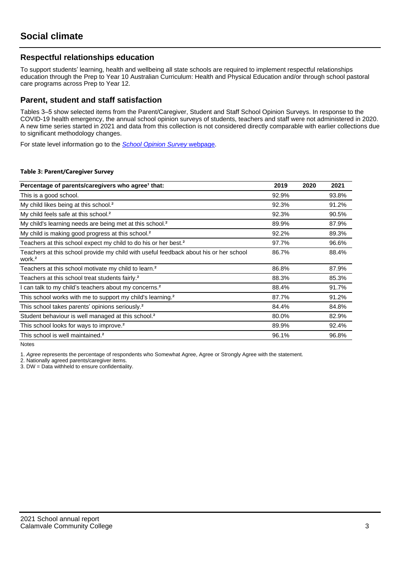## **Respectful relationships education**

To support students' learning, health and wellbeing all state schools are required to implement respectful relationships education through the Prep to Year 10 Australian Curriculum: Health and Physical Education and/or through school pastoral care programs across Prep to Year 12.

## **Parent, student and staff satisfaction**

Tables 3–5 show selected items from the Parent/Caregiver, Student and Staff School Opinion Surveys. In response to the COVID-19 health emergency, the annual school opinion surveys of students, teachers and staff were not administered in 2020. A new time series started in 2021 and data from this collection is not considered directly comparable with earlier collections due to significant methodology changes.

For state level information go to the **[School Opinion Survey](https://qed.qld.gov.au/publications/reports/statistics/schooling/schools/schoolopinionsurvey) webpage**.

#### **Table 3: Parent/Caregiver Survey**

| Percentage of parents/caregivers who agree <sup>1</sup> that:                                               | 2019  | 2020 | 2021  |
|-------------------------------------------------------------------------------------------------------------|-------|------|-------|
| This is a good school.                                                                                      | 92.9% |      | 93.8% |
| My child likes being at this school. <sup>2</sup>                                                           | 92.3% |      | 91.2% |
| My child feels safe at this school. <sup>2</sup>                                                            | 92.3% |      | 90.5% |
| My child's learning needs are being met at this school. <sup>2</sup>                                        | 89.9% |      | 87.9% |
| My child is making good progress at this school. <sup>2</sup>                                               | 92.2% |      | 89.3% |
| Teachers at this school expect my child to do his or her best. <sup>2</sup>                                 | 97.7% |      | 96.6% |
| Teachers at this school provide my child with useful feedback about his or her school<br>work. <sup>2</sup> | 86.7% |      | 88.4% |
| Teachers at this school motivate my child to learn. <sup>2</sup>                                            | 86.8% |      | 87.9% |
| Teachers at this school treat students fairly. <sup>2</sup>                                                 | 88.3% |      | 85.3% |
| can talk to my child's teachers about my concerns. <sup>2</sup>                                             | 88.4% |      | 91.7% |
| This school works with me to support my child's learning. <sup>2</sup>                                      | 87.7% |      | 91.2% |
| This school takes parents' opinions seriously. <sup>2</sup>                                                 | 84.4% |      | 84.8% |
| Student behaviour is well managed at this school. <sup>2</sup>                                              | 80.0% |      | 82.9% |
| This school looks for ways to improve. <sup>2</sup>                                                         | 89.9% |      | 92.4% |
| This school is well maintained. <sup>2</sup>                                                                | 96.1% |      | 96.8% |

Notes

1. Agree represents the percentage of respondents who Somewhat Agree, Agree or Strongly Agree with the statement.

2. Nationally agreed parents/caregiver items.

3. DW = Data withheld to ensure confidentiality.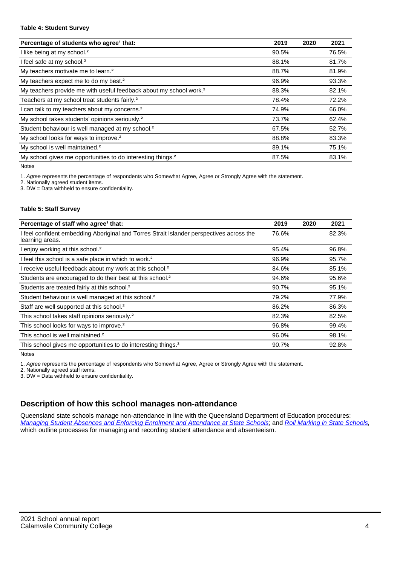#### **Table 4: Student Survey**

| Percentage of students who agree <sup>1</sup> that:                            | 2019  | 2020 | 2021  |
|--------------------------------------------------------------------------------|-------|------|-------|
| I like being at my school. <sup>2</sup>                                        | 90.5% |      | 76.5% |
| I feel safe at my school. <sup>2</sup>                                         | 88.1% |      | 81.7% |
| My teachers motivate me to learn. <sup>2</sup>                                 | 88.7% |      | 81.9% |
| My teachers expect me to do my best. <sup>2</sup>                              | 96.9% |      | 93.3% |
| My teachers provide me with useful feedback about my school work. <sup>2</sup> | 88.3% |      | 82.1% |
| Teachers at my school treat students fairly. <sup>2</sup>                      | 78.4% |      | 72.2% |
| I can talk to my teachers about my concerns. <sup>2</sup>                      | 74.9% |      | 66.0% |
| My school takes students' opinions seriously. <sup>2</sup>                     | 73.7% |      | 62.4% |
| Student behaviour is well managed at my school. <sup>2</sup>                   | 67.5% |      | 52.7% |
| My school looks for ways to improve. <sup>2</sup>                              | 88.8% |      | 83.3% |
| My school is well maintained. <sup>2</sup>                                     | 89.1% |      | 75.1% |
| My school gives me opportunities to do interesting things. <sup>2</sup>        | 87.5% |      | 83.1% |

Notes

1. Agree represents the percentage of respondents who Somewhat Agree, Agree or Strongly Agree with the statement.

2. Nationally agreed student items.

3. DW = Data withheld to ensure confidentiality.

#### **Table 5: Staff Survey**

| Percentage of staff who agree <sup>1</sup> that:                                                            | 2019  | 2020 | 2021  |
|-------------------------------------------------------------------------------------------------------------|-------|------|-------|
| I feel confident embedding Aboriginal and Torres Strait Islander perspectives across the<br>learning areas. | 76.6% |      | 82.3% |
| I enjoy working at this school. <sup>2</sup>                                                                | 95.4% |      | 96.8% |
| I feel this school is a safe place in which to work. <sup>2</sup>                                           | 96.9% |      | 95.7% |
| I receive useful feedback about my work at this school. <sup>2</sup>                                        | 84.6% |      | 85.1% |
| Students are encouraged to do their best at this school. <sup>2</sup>                                       | 94.6% |      | 95.6% |
| Students are treated fairly at this school. <sup>2</sup>                                                    | 90.7% |      | 95.1% |
| Student behaviour is well managed at this school. <sup>2</sup>                                              | 79.2% |      | 77.9% |
| Staff are well supported at this school. <sup>2</sup>                                                       | 86.2% |      | 86.3% |
| This school takes staff opinions seriously. <sup>2</sup>                                                    | 82.3% |      | 82.5% |
| This school looks for ways to improve. <sup>2</sup>                                                         | 96.8% |      | 99.4% |
| This school is well maintained. <sup>2</sup>                                                                | 96.0% |      | 98.1% |
| This school gives me opportunities to do interesting things. <sup>2</sup>                                   | 90.7% |      | 92.8% |

Notes

1. Agree represents the percentage of respondents who Somewhat Agree, Agree or Strongly Agree with the statement.

2. Nationally agreed staff items.

3. DW = Data withheld to ensure confidentiality.

# **Description of how this school manages non-attendance**

Queensland state schools manage non-attendance in line with the Queensland Department of Education procedures: [Managing Student Absences and Enforcing Enrolment and Attendance at State Schools](https://ppr.qed.qld.gov.au/pp/managing-student-absences-and-enforcing-enrolment-and-attendance-at-state-schools-procedure); and [Roll Marking in State Schools,](https://ppr.qed.qld.gov.au/pp/roll-marking-in-state-schools-procedure) which outline processes for managing and recording student attendance and absenteeism.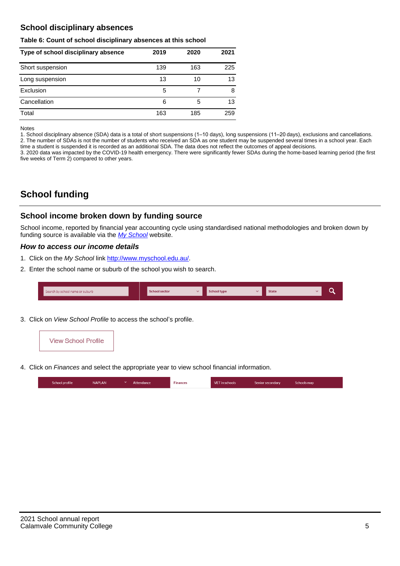## **School disciplinary absences**

#### **Table 6: Count of school disciplinary absences at this school**

| Type of school disciplinary absence | 2019 | 2020 | 2021 |
|-------------------------------------|------|------|------|
| Short suspension                    | 139  | 163  | 225  |
| Long suspension                     | 13   | 10   | 13   |
| Exclusion                           | 5    |      | 8    |
| Cancellation                        | 6    | 5    | 13   |
| Total                               | 163  | 185  | 259  |

Notes

1. School disciplinary absence (SDA) data is a total of short suspensions (1–10 days), long suspensions (11–20 days), exclusions and cancellations. 2. The number of SDAs is not the number of students who received an SDA as one student may be suspended several times in a school year. Each time a student is suspended it is recorded as an additional SDA. The data does not reflect the outcomes of appeal decisions.

3. 2020 data was impacted by the COVID-19 health emergency. There were significantly fewer SDAs during the home-based learning period (the first five weeks of Term 2) compared to other years.

# **School funding**

## **School income broken down by funding source**

School income, reported by financial year accounting cycle using standardised national methodologies and broken down by funding source is available via the [My School](http://www.myschool.edu.au/) website.

#### **How to access our income details**

- 1. Click on the My School link <http://www.myschool.edu.au/>.
- 2. Enter the school name or suburb of the school you wish to search.

| Search by school name or suburb | <b>School sector</b> | School type | <b>State</b> |  |
|---------------------------------|----------------------|-------------|--------------|--|
|                                 |                      |             |              |  |

3. Click on View School Profile to access the school's profile.



4. Click on Finances and select the appropriate year to view school financial information.

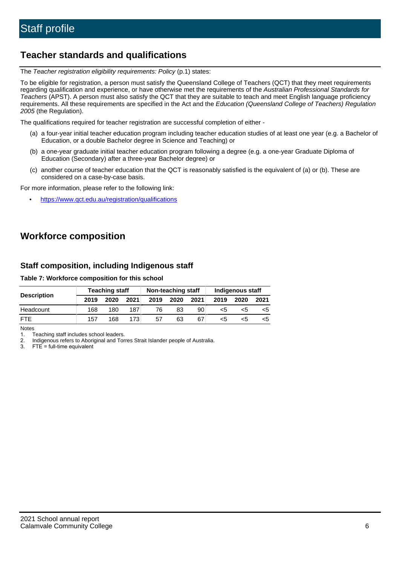# **Teacher standards and qualifications**

The Teacher registration eligibility requirements: Policy (p.1) states:

To be eligible for registration, a person must satisfy the Queensland College of Teachers (QCT) that they meet requirements regarding qualification and experience, or have otherwise met the requirements of the Australian Professional Standards for Teachers (APST). A person must also satisfy the QCT that they are suitable to teach and meet English language proficiency requirements. All these requirements are specified in the Act and the Education (Queensland College of Teachers) Regulation 2005 (the Regulation).

The qualifications required for teacher registration are successful completion of either -

- (a) a four-year initial teacher education program including teacher education studies of at least one year (e.g. a Bachelor of Education, or a double Bachelor degree in Science and Teaching) or
- (b) a one-year graduate initial teacher education program following a degree (e.g. a one-year Graduate Diploma of Education (Secondary) after a three-year Bachelor degree) or
- (c) another course of teacher education that the QCT is reasonably satisfied is the equivalent of (a) or (b). These are considered on a case-by-case basis.

For more information, please refer to the following link:

• <https://www.qct.edu.au/registration/qualifications>

# **Workforce composition**

## **Staff composition, including Indigenous staff**

#### **Table 7: Workforce composition for this school**

|                    | <b>Teaching staff</b> |      |                  | Non-teaching staff |      |      | Indigenous staff |      |      |
|--------------------|-----------------------|------|------------------|--------------------|------|------|------------------|------|------|
| <b>Description</b> | 2019                  | 2020 | 2021             | 2019               | 2020 | 2021 | 2019             | 2020 | 2021 |
| Headcount          | 168                   | 180  | 187              | 76                 | 83   | 90   | <5               | <5   |      |
| <b>FTE</b>         | 157                   | 168  | 173 <sub>1</sub> | 57                 | 63   | 67   | <5               | ה>   |      |

Notes

1. Teaching staff includes school leaders.

2. Indigenous refers to Aboriginal and Torres Strait Islander people of Australia.

3. FTE = full-time equivalent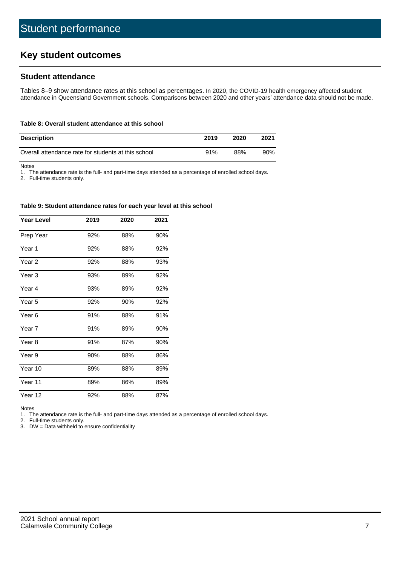# **Key student outcomes**

## **Student attendance**

Tables 8–9 show attendance rates at this school as percentages. In 2020, the COVID-19 health emergency affected student attendance in Queensland Government schools. Comparisons between 2020 and other years' attendance data should not be made.

#### **Table 8: Overall student attendance at this school**

| <b>Description</b>                                  | 2019 | 2020 | 2021   |
|-----------------------------------------------------|------|------|--------|
| Overall attendance rate for students at this school | 91%  | 88%  | $90\%$ |

Notes

1. The attendance rate is the full- and part-time days attended as a percentage of enrolled school days.

2. Full-time students only.

#### **Table 9: Student attendance rates for each year level at this school**

| <b>Year Level</b> | 2019 | 2020 | 2021 |
|-------------------|------|------|------|
| Prep Year         | 92%  | 88%  | 90%  |
| Year 1            | 92%  | 88%  | 92%  |
| Year 2            | 92%  | 88%  | 93%  |
| Year <sub>3</sub> | 93%  | 89%  | 92%  |
| Year 4            | 93%  | 89%  | 92%  |
| Year 5            | 92%  | 90%  | 92%  |
| Year <sub>6</sub> | 91%  | 88%  | 91%  |
| Year 7            | 91%  | 89%  | 90%  |
| Year <sub>8</sub> | 91%  | 87%  | 90%  |
| Year 9            | 90%  | 88%  | 86%  |
| Year 10           | 89%  | 88%  | 89%  |
| Year 11           | 89%  | 86%  | 89%  |
| Year 12           | 92%  | 88%  | 87%  |

Notes<br>1. Th The attendance rate is the full- and part-time days attended as a percentage of enrolled school days.

2. Full-time students only.

3. DW = Data withheld to ensure confidentiality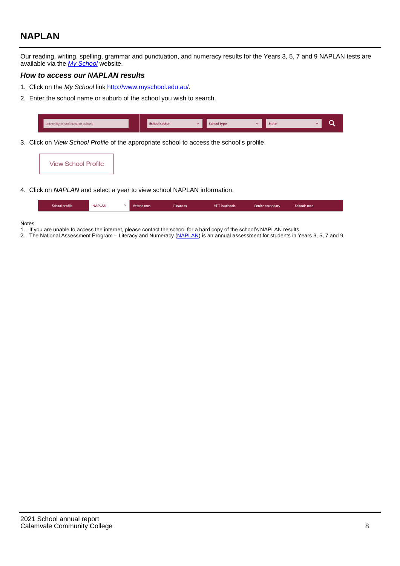# **NAPLAN**

Our reading, writing, spelling, grammar and punctuation, and numeracy results for the Years 3, 5, 7 and 9 NAPLAN tests are available via the [My School](http://www.myschool.edu.au/) website.

#### **How to access our NAPLAN results**

- 1. Click on the My School link <http://www.myschool.edu.au/>.
- 2. Enter the school name or suburb of the school you wish to search.

| Search by school name or suburb | <b>School sector</b> | <b>School type</b>                        |          | <b>State</b> |  |
|---------------------------------|----------------------|-------------------------------------------|----------|--------------|--|
|                                 |                      |                                           |          |              |  |
|                                 |                      | $\sim$ $\sim$ $\sim$ $\sim$ $\sim$ $\sim$ | $\cdots$ |              |  |

3. Click on View School Profile of the appropriate school to access the school's profile.

| <b>View School Profile</b> |
|----------------------------|
|----------------------------|

4. Click on NAPLAN and select a year to view school NAPLAN information.

|  | School profile | <b>NAPLAN</b><br>$\sim$ 1 | Attendance | <b>Finances</b> | <b>VET</b> in schools | Senior secondary | Schools map |
|--|----------------|---------------------------|------------|-----------------|-----------------------|------------------|-------------|
|--|----------------|---------------------------|------------|-----------------|-----------------------|------------------|-------------|

#### Notes

- 1. If you are unable to access the internet, please contact the school for a hard copy of the school's NAPLAN results.
- 2. The National Assessment Program Literacy and Numeracy ([NAPLAN\)](http://www.nap.edu.au/naplan) is an annual assessment for students in Years 3, 5, 7 and 9.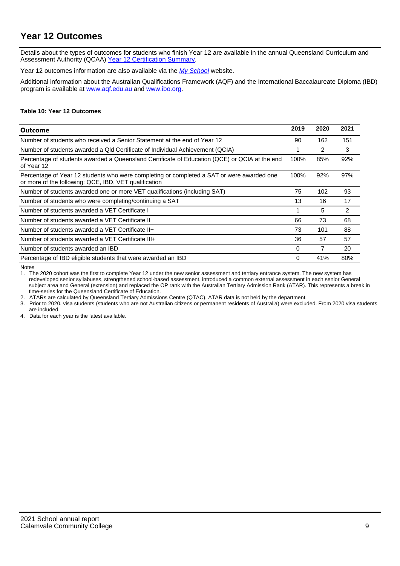# **Year 12 Outcomes**

Details about the types of outcomes for students who finish Year 12 are available in the annual Queensland Curriculum and Assessment Authority (QCAA) [Year 12 Certification Summary](https://www.qcaa.qld.edu.au/about/publications/statistics).

Year 12 outcomes information are also available via the [My School](http://www.myschool.edu.au/) website.

Additional information about the Australian Qualifications Framework (AQF) and the International Baccalaureate Diploma (IBD) program is available at [www.aqf.edu.au](https://www.aqf.edu.au/) and [www.ibo.org](https://www.ibo.org/).

#### **Table 10: Year 12 Outcomes**

| Outcome                                                                                                                                            | 2019 | 2020 | 2021 |
|----------------------------------------------------------------------------------------------------------------------------------------------------|------|------|------|
| Number of students who received a Senior Statement at the end of Year 12                                                                           | 90   | 162  | 151  |
| Number of students awarded a Qld Certificate of Individual Achievement (QCIA)                                                                      |      | 2    | 3    |
| Percentage of students awarded a Queensland Certificate of Education (QCE) or QCIA at the end<br>of Year 12                                        | 100% | 85%  | 92%  |
| Percentage of Year 12 students who were completing or completed a SAT or were awarded one<br>or more of the following: QCE, IBD, VET qualification | 100% | 92%  | 97%  |
| Number of students awarded one or more VET qualifications (including SAT)                                                                          | 75   | 102  | 93   |
| Number of students who were completing/continuing a SAT                                                                                            | 13   | 16   | 17   |
| Number of students awarded a VET Certificate I                                                                                                     |      | 5    | 2    |
| Number of students awarded a VET Certificate II                                                                                                    | 66   | 73   | 68   |
| Number of students awarded a VET Certificate II+                                                                                                   | 73   | 101  | 88   |
| Number of students awarded a VET Certificate III+                                                                                                  | 36   | 57   | 57   |
| Number of students awarded an IBD                                                                                                                  | 0    |      | 20   |
| Percentage of IBD eligible students that were awarded an IBD                                                                                       | 0    | 41%  | 80%  |

Notes

1. The 2020 cohort was the first to complete Year 12 under the new senior assessment and tertiary entrance system. The new system has redeveloped senior syllabuses, strengthened school-based assessment, introduced a common external assessment in each senior General subject area and General (extension) and replaced the OP rank with the Australian Tertiary Admission Rank (ATAR). This represents a break in time-series for the Queensland Certificate of Education.

2. ATARs are calculated by Queensland Tertiary Admissions Centre (QTAC). ATAR data is not held by the department.

3. Prior to 2020, visa students (students who are not Australian citizens or permanent residents of Australia) were excluded. From 2020 visa students are included.

4. Data for each year is the latest available.